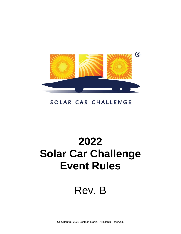

## SOLAR CAR CHALLENGE

# **2022 Solar Car Challenge Event Rules**

## Rev. B

Copyright (c) 2022 Lehman Marks. All Rights Reserved.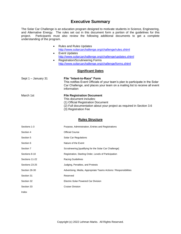### **Executive Summary**

The Solar Car Challenge is an education program designed to motivate students in Science, Engineering, and Alternative Energy. The rules set out in this document form a portion of the guidelines for this project. Participants must also review the following additional documents to get a complete understanding of the program.

|                     | <b>Rules and Rules Updates</b><br>$\bullet$                                                                                                                                                              |  |  |  |
|---------------------|----------------------------------------------------------------------------------------------------------------------------------------------------------------------------------------------------------|--|--|--|
|                     | http://www.solarcarchallenge.org/challenge/rules.shtml                                                                                                                                                   |  |  |  |
|                     | Event Updates<br>$\bullet$                                                                                                                                                                               |  |  |  |
|                     | http://www.solarcarchallenge.org/challenge/updates.shtml                                                                                                                                                 |  |  |  |
|                     | <b>Registration/Scrutineering Forms</b><br>$\bullet$                                                                                                                                                     |  |  |  |
|                     | http://www.solarcarchallenge.org/challenge/forms.shtml                                                                                                                                                   |  |  |  |
|                     | <b>Significant Dates</b>                                                                                                                                                                                 |  |  |  |
| Sept 1 - January 31 | File "Intent-to-Race" Form<br>This notifies Event Officials of your team's plan to participate in the Solar<br>Car Challenge, and places your team on a mailing list to receive all event<br>information |  |  |  |
| March 1st           | <b>File Registration Document</b>                                                                                                                                                                        |  |  |  |
|                     | This document includes:                                                                                                                                                                                  |  |  |  |
|                     | (1) Official Registration Document                                                                                                                                                                       |  |  |  |

- (2) Full documentation about your project as required in Section [3.6](#page-3-0)
- (3) Registration Fee

#### **Rules Structure**

| Sections 1-3   | Purpose, Administration, Entries and Registrations               |
|----------------|------------------------------------------------------------------|
| Section 4      | <b>Official Course</b>                                           |
| Section 5      | Solar Car Regulations                                            |
| Section 6      | Nature of the Event                                              |
| Section 7      | Scrutineering [qualifying for the Solar Car Challenge]           |
| Sections 8-10  | Registration, Starting Order, Levels of Participation            |
| Sections 11-22 | <b>Racing Guidelines</b>                                         |
| Sections 23-25 | Judging, Penalties, and Protests                                 |
| Section 26-30  | Advertising, Media, Appropriate Teams Actions / Responsibilities |
| Section 31     | Reserved                                                         |
| Section 32     | Electric-Solar Powered Car Division                              |
| Section 33     | <b>Cruiser Division</b>                                          |
| Index          |                                                                  |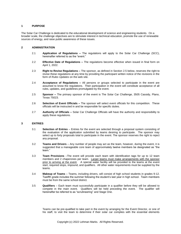#### **1 PURPOSE**

The Solar Car Challenge is dedicated to the educational development of science and engineering students. On a broader scale, the challenge objectives are to stimulate interest in technical education, promote the use of renewable sources of energy, and raise public awareness of these issues.

#### **2 ADMINISTRATION**

- 2.1 **Application of Regulations –** The regulations will apply to the Solar Car Challenge (SCC), hereinafter referred to as the "event."
- 2.2 **Effective Date of Regulations –** The regulations become effective when issued in final form on April 1, 2022.
- 2.3 **Right to Revise Regulations –** The sponsor, as defined in Section [2.5](#page-2-0) below, reserves the right to revise these regulations at any time by providing the participant written notice of the revisions in the form of *Rules Updates* on the web site.
- 2.4 **Acceptance of Regulations –** All persons or groups selected to participate in the event are assumed to know the regulations. Their participation in the event will constitute acceptance of all rules, updates, and guidelines promulgated by the event.
- <span id="page-2-0"></span>2.5 **Sponsor –** The primary sponsor of the event is The Solar Car Challenge, 3505 Cassidy, Plano, Texas 75023.
- 2.6 **Selection of Event Officials –** The sponsor will select event officials for this competition. These officials will be instructed in and be responsible for specific duties.
- 2.7 **Authority of Officials –** Solar Car Challenge Officials will have the authority and responsibility to apply these regulations.

#### **3 ENTRIES**

- 3.1 **Selection of Entries** Entries for the event are selected through a proposal system consisting of the evaluation of the application submitted by teams desiring to participate. The sponsor may select up to forty proposals total to participate in the event. The sponsor reserves the right to reject any proposal.
- 3.2 **Teams and Drivers** Any number of people may act as the team, however, during the event, it is suggested that a manageable core team of approximately twelve members be designated as "the team."
- 3.3 **Team Provisions** –The event will provide each team with identification tags for up to 12 team members and 2 chaperones per team. Larger teams must make arrangements with the sponsor prior to arriving at the event. A special water facility will be provided to the teams at the event start, required stops, impound, and qualifiers. All other water requirements must be supplied by the teams.
- 3.4 **Makeup of Teams** Teams, including drivers, will consist of high school students in grades 9-12. Twelfth grade includes the summer following the student's last year in high school. Team members must be from the same school district.
- 3.5 **Qualifiers** Each team must successfully participate in a qualifier before they will be allowed to compete in the main event. Qualifiers will be held preceding the event. The qualifier will hereinafter be referred to as "scrutineering" and Stage One.

Teams can be pre-qualified to take part in the event by arranging for the Event Director, or one of his staff, to visit the team to determine if their solar car complies with the essential elements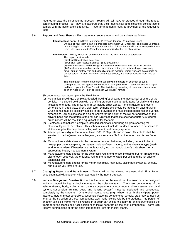required to pass the scrutineering process. Teams will still have to proceed through the regular scrutineering process, but they are assured that their mechanical and electrical configurations comply with the basic event directives. Travel arrangements must be provided by the requesting team.

<span id="page-3-0"></span>3.6 **Reports and Data Sheets** – Each team must submit reports and data sheets as follows:

**Intent-to-Race Form** – filed from September 1<sup>st</sup> through January 31<sup>st</sup> notifying Event

Officials of your team's plan to participate in the Solar Car Challenge, and places your team on a mailing list to receive all event information. A Final Report will not be accepted for any team unless an Intent-to-Race form was submitted within the filing window.

**Final Report** – filed by March 1st of the year in which the team intends to participate.

- This report must include:
- (1) Official Registration Document
- (2) Official Team Registration Fee [See Section [8.3\]](#page-19-0)

(3) Final mechanical and drawings and electrical schematics (see below for details) (4) Specifications including weight, dimensions, motor type, solar cell type, solar array power output, battery type and capacity, braking systems, wheel type, and data sheets as set out below. All crew members, designated drivers, and faculty advisors must also be listed.

The information from the data sheets will provide the basis for selection of event participants, and will appear in the Official Challenge Booklet. Teams will submit a digital and hard copy of the Final Report. The digital copy, including all documents below, must be in an Adobe PDF (.pdf) or Microsoft Word (.doc) format.

#### Six documents must accompany the Final Report:

- (1) Mechanical Drawings: Complete, detailed drawing(s) showing the mechanical structure of the vehicle. This should be drawn with a drafting program such as Solid Edge for clarity and is not limited to one page. The drawing(s) must include crush zones, frame structure, and overall dimensions in three views (front, side, top). Dimensions should be labeled on each drawing. Crush zones must be explicitly labeled in the drawings and must include horizontal and vertical dimensions. Dimensions should also be shown for the height of the roll bar and between the driver's head and the bottom of the roll bar. Drawings that fail to show adequate "360 degree crush zones" will be result in disqualification for the team.
- (2) Electrical Schematics: A complete, detailed schematic and wiring diagram showing the electrical layout of the vehicle. This schematic must include but does not need to be limited to all the wiring for the propulsion, solar, instrument, and battery systems.
- (3) A team photo in digital format of at least 1500x2100 pixels and in color. This photo shall be emailed to marks@solarcarchallenge.org as a separate file from the report, and is due June 1 st .
- (4) Manufacturer's data sheets for the propulsion system batteries, including, but not limited to voltage per battery, capacity per battery, weight of each battery, and its chemistry type (leadacid, or otherwise). If batteries are not lead-acid, include manufacturer's data sheets for an appropriate battery management system.
- (5) Manufacturer's data sheets for the solar cells you intend to use, including, but not limited to the size of each solar cell, the efficiency rating, the number of watts per cell, and the list price of each solar cell.
- (6) Manufacturer's data sheets for the motor, controller, main fuse, disconnect switches, wheels, and brakes you intend to use.
- 3.7 **Changing Reports and Data Sheets** Teams will not be allowed to amend their Final Report once submitted without prior written approval by the Event Director.
- <span id="page-3-1"></span>3.8 **Vehicle Design and Construction** – It is the intent of the event that the solar cars be designed and constructed by high school students on the solar car team. The major components of the vehicle (frame, body, solar array, battery compartment, motor mount, drive system, electrical system, suspension, running gear, and lighting system) must be designed and constructed completely by the students. Off-the-shelf components (e.g., wheel hubs, brake calipers, power trackers, motors, motor controllers, suspension/steering components, wheels, etc.) may be used as long as the selection of these components was made exclusively by the students. No portion of another vehicle's frame may be reused in a solar car unless the team re-engineers/modifies the frame to fit the team's solar car design or to install separate off-the-shelf components. Teams can receive contributions of off-the-shelf components from other solar teams.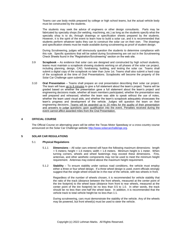Teams can use body molds prepared by college or high school teams, but the actual vehicle body must be constructed by the students.

The students may seek the advice of engineers or other design consultants. Parts may be fabricated by specialty shops (for welding, machining, etc.) as long as the students specify what the specialty shop is to do, through drawings or specification sheets prepared by the students. However, it is the spirit of the event to learn how to build a solar car, and it is recommended that students perform whatever tasks they can to construct the solar car on their own. The drawings and specification sheets must be made available during scrutineering as proof of student design.

During Scrutineering, judges will strenuously question the students to determine compliance with this rule. Specific questions that will be asked during Scrutineering are set out in the Scrutineering Check Sheets found in the "Registration/Scrutineering" section on the web site.

- 3.9 **Scrapbook** As evidence that solar cars are designed and constructed by high school students, teams must maintain a scrapbook showing students working on all phases of the solar car project, including planning, design, CAD, fundraising, building, and testing the solar car. Teams shall submit a digital copy of the scrapbook no later than June 1st. Teams shall also submit a hard copy of the scrapbook at the time of Oral Presentations. Scrapbooks will become the property of the Solar Car Challenge upon submittal.
- 3.10 **Oral Presentation** Teams shall prepare an oral presentation describing their solar car project. The team will have up to 8 minutes to give a full statement about the team's project. Teams will be graded based on whether the presentation gave a full statement about the team's project and engineering decisions made, whether all team members participated, whether the presentation was well prepared and rehearsed, whether the team was able to speak without the use of notes, whether the team used visual aids, and whether the team's scrapbook adequately showcases the team's progress and development of the vehicle. Judges will question the team on their engineering decisions. Teams will be awarded up to 20 miles for the quality of their presentation and answers to judge questions upon qualification into the event. Penalties received during the event cannot affect awarded miles from the Oral Presentation.

#### **4 OFFICIAL COURSE**

The Official Course on alternating years will be either the Texas Motor Speedway or a cross-country course announced on the Solar Car Challenge website [http://www.solarcarchallenge.org.](http://www.winstonsolar.org/)

#### <span id="page-4-1"></span><span id="page-4-0"></span>**5 SOLAR CAR REGULATIONS**

#### 5.1 **Physical Regulations**

- 5.1.1 **Dimensions** All solar cars entered will have the following maximum dimensions: length  $=$  5 meters; height  $=$  1.6 meters; width  $=$  1.8 meters. Minimum height is 1 meter. When turning corners, wheels and wheel fastenings may exceed these dimensions. Fins, antennas, and other aesthetic components may not be used to meet the minimum height requirement. Antennas may extend above the maximum height requirement.
- 5.1.2 **Stability** To ensure stability under various road conditions, the vehicle must employ either a three or four wheel design. If a three wheel design is used, event officials strongly suggest that the single wheel should be in the rear of the vehicle, with two wheels in front.

Regardless of the number of wheels chosen, it is recommended for vehicle stability that the ratio of the track (distance between the front wheels, measured at the center point of the tire footprint) to the wheel base (distance from front to rear wheels, measured at the center point of the tire footprint) be no less than 0.5 to 1.0. In other words, the track should be no less than one-half the wheel base. In addition, it is recommended that the vehicle track to total vehicle height be no less than 1:1.

During scrutineering, cars must demonstrate the stability of the vehicle. Any of the wheels may be powered, but front wheel(s) must be used to steer the vehicle.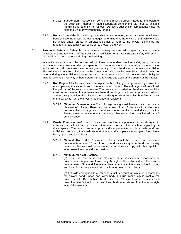- <span id="page-5-1"></span>5.1.2.1 **Suspension** – Suspension components must be properly rated for the weight of the solar car. Improperly rated suspension components can lead to unstable handling and potential for roll-over. As such, suspension components must not exceed 50% of travel when fully loaded.
- 5.1.3 **Body of the Vehicle** Although windshields are required, solar cars need not have a body or covering unless the event judges determine that the driving of that vehicle would be unsafe and/or create an unreasonable risk of harm to the driver. Solar cars are required to have a belly pan sufficient to protect the driver.
- 5.2 **Structural Safety** Safety is the sponsor's primary concern with regard to the structural development and fabrication of the solar cars. Insufficient regard for structural safety will result in disqualification from the event during scrutineering.

In specific, solar cars must be constructed with three codependent structural safety components: a roll cage structure near the driver, a separate crush zone structure on the outside of the roll cage, and a roll bar. All structures must be designed to help protect the driver in the event of collision. The roll cage structure is intended to be constructed with heavier material so that it does not deform during the collision whereas the crush zone structure can be constructed with lighter material so that it gives way without deforming the roll cage and absorbs the energy of the impact.

- 5.2.1 **Roll Cage** All solar cars must be equipped with a roll cage that provides rigid protection encompassing the entire driver in the event of a collision. The roll cage shall be a fixed, integral part of the solar car structure. The protection provided for the driver in a collision must be documented in the team's mechanical drawings. In addition to providing collision and rollover protection, the roll cage must be designed so as to deflect body/array panels of the car away from the driver in the event of an accident.
	- 5.2.1.1 **Minimum Dimensions**  The roll cage tubing must have a minimum outside diameter of 1.9 cm. There must be at least  $5$  cm of clearance in all directions between the roll cage and the driver seated in the normal driving position. Teams must demonstrate at scrutineering that each driver complies with the 5 cm clearance.
- <span id="page-5-0"></span>5.2.2 **Crush Zone –** A *crush zone* is defined as structural components that are designed to collapse in an effort to absorb some of the impact from a collision without impacting the driver space. The crush zone must provide driver protection from front, side, and rear collisions. As such, the crush zone structure shall completely encompass the driver's head, upper, and lower body.
	- 5.2.2.1 **Minimal Horizontal Distance** There must be crush zone structural components at least 15 cm of horizontal distance away from the driver in every direction. Teams must demonstrate that all drivers comply with this regulation when seated in normal driving position.

#### 5.2.2.2 **Minimum Vertical Distance**

(a) Front and Rear crush zone structures must, at minimum, encompass the driver's head, upper, and lower body throughout the entire width of the driver's compartment. Structural frame members shall cover the driver's head, upper, and lower body when viewed from the front or rear of the solar car.

(b) Left side and right side crush zone structures must, at minimum, encompass the driver's head, upper, and lower body and run from 15cm in front of the driver's feet to 15cm behind the driver's seat. Structural frame members shall cover the driver's head, upper, and lower body when viewed from the left or right side of the solar car.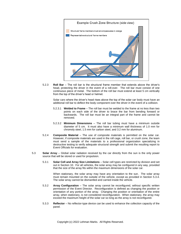

5.2.3 **Roll Bar** – The roll bar is the structural frame member that extends above the driver's head, protecting the driver in the event of a roll-over. The roll bar must consist of one continuous piece of metal. The bottom of the roll bar must extend at least 5 cm vertically from the top of the driver's head or helmet.

Solar cars where the driver's head rises above the top of the solar car body must have an additional roll bar to deflect the body component over the driver in the event of a collision.

- 5.2.3.1 **Welded to Frame**  The roll bar must be welded to the frame at no less than two points on each side of the driver to brace the bar from bending forward or backwards. The roll bar must be an integral part of the frame and cannot be removed.
- 5.2.3.2 **Minimum Dimensions** The roll bar tubing must have a minimum outside diameter of 5 cm. It must also have a minimum wall thickness of 1.0 mm for chromoly steel, 1.5 mm for carbon steel, and 3.2 mm for aluminum.
- 5.2.4 **Composite Material** The use of composite materials is permitted on the solar car. However, if composite materials are used in the roll cage, roll bar, or crush zone, the team must send a sample of the materials to a professional organization specializing in destructive testing to verify adequate structural strength and submit the resulting report to Event Officials for evaluation.
- 5.3 **Solar Array** Global solar radiation received by the car directly from the sun is the only power source that will be stored or used for propulsion.
	- 5.3.1 **Solar Cell and Array Size Limitations** Solar cell types are restricted by division and set out in Section [10.](#page-20-0) For all vehicles, the solar array may be configured in any way, provided that the size of the array fits within the maximum dimensions of the solar car.

When stationary, the solar array may have any orientation to the sun. The solar array must remain mounted on the outside of the vehicle, except as provided in Section [5.3.4.](#page-7-0) The solar array cannot be dismantled and carried inside the vehicle.

- <span id="page-6-0"></span>5.3.2 **Array Configuration** – The solar array cannot be reconfigured, without specific written permission of the Event Director. Reconfiguration is defined as changing the position or orientation of any portion of the array. Changing the position or orientation of the entire array, when stationary, is not considered reconfiguration. When stationary, the array may exceed the maximum height of the solar car so long as the array is not reconfigured.
- 5.3.3 **Reflector** No reflector-type device can be used to enhance the collection capacity of the panel.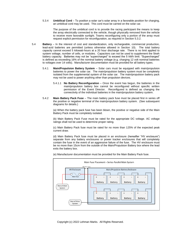<span id="page-7-0"></span>5.3.4 **Umbilical Cord** – To position a solar car's solar array in a favorable position for charging, an umbilical cord may be used. This cord must be carried on the solar car.

The purpose of the umbilical cord is to provide the racing participant the means to keep the array electrically connected to the vehicle, though physically removed from the vehicle to receive more favorable sunlight. Teams reconfiguring only a portion of the array must request explicit permission for reconfiguration, as required in Section [5.3.2.](#page-6-0)

- <span id="page-7-2"></span>5.4 **Battery** – In the interest of cost and standardization, only rechargeable, commercial production, lead-acid batteries are permitted (unless otherwise allowed in Section [10\)](#page-20-0). The total battery capacity cannot exceed 5 kilowatt-hours at a 20 hour discharge rate. There is no limit applied to system voltage, number of cells, or modules. Capacitors can not be used to supplement the 5kwh battery capacity. Batteries may not be "supercharged" to exceed the 5 kWh limit. "Supercharged" is defined as exceeding 16% of the nominal battery voltage (e.g. charging 12 volt nominal batteries to voltages over 14 volts). Manufacturer documentation must be provided for all battery types.
	- 5.4.1 **Main/Propulsion Battery System** Solar cars must be equipped with main/propulsion batteries to power the solar car. The main/propulsion battery system must be completely isolated from the supplemental system of the solar car. The main/propulsion battery pack may not be used to power anything other than propulsion devices.
		- 5.4.1.1 **No Battery Reconfiguration** Once the event has begun, the batteries in the main/propulsion battery box cannot be reconfigured without specific written permission of the Event Director. Reconfigured is defined as changing the connectivity of the individual batteries in the main/propulsion battery system.
	- 5.4.2 **Main Battery Pack Fuse** The main battery pack fuse must be placed first in series off the positive or negative terminal of the main/propulsion battery system. (See subsequent diagrams for details.)

<span id="page-7-1"></span>(a) When the battery pack fuse has been blown, the positive or negative side of the Main Battery Pack must be completely isolated.

(b) Main Battery Pack Fuse must be rated for the appropriate DC voltage. AC voltage ratings shall not be used to determine proper rating.

(c) Main Battery Pack fuse must be rated for no more than 125% of the expected peak current draw.

(d) Main Battery Pack fuse must be placed in an enclosure (hereafter "HV enclosure") separate from any battery enclosures or power tracker enclosures that will completely contain the fuse in the event of an aggressive failure of the fuse. The HV enclosure must be no more than 15cm from the outside of the Main/Propulsion Battery box where the lead exits the battery box.

(e) Manufacturer documentation must be provided for the Main Battery Pack fuse.

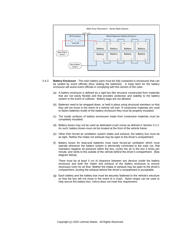

- <span id="page-8-0"></span>5.4.3 **Battery Enclosure** - The main battery pack must be fully contained in enclosures that can be sealed by event officials (thus sealing the batteries). A hasp latch for the battery enclosure will assist event officials in complying with this section of the rules.
	- (a) A battery enclosure is defined as a rigid box-like structure constructed from materials that are not easily flexible and that provides protection and stability to the battery system in the event of collision. Battery bags are not allowed.
	- (b) Batteries need to be strapped down, or held in place using structural members so that they will not move in the event of a vehicle roll over. If conductive materials are used to fasten batteries inside of the battery enclosure they must be properly insulated.
	- (c) The inside surfaces of battery enclosures made from conductive materials must be completely insulated.
	- (d) Battery boxes may not be used as dedicated crush zones as defined in Section [5.2.2.](#page-5-0) As such, battery boxes must not be located at the front of the vehicle frame.
	- (e) Other than forced air ventilation system intake and exhaust, the battery box must be air tight. Neither the intake nor exhaust may be open to the driver's compartment.
	- (f) Battery boxes for lead-acid batteries must have forced-air ventilation which must operate whenever the battery system is electrically connected to the solar car, that maintains negative air-pressure within the box, cycles the air in the box 4 times per minute, and vents to the outside of the vehicle behind the driver's compartment. [See diagram below]

There must be at least 3 cm of clearance between any devices inside the battery enclosure and both the intake and exhaust of the battery enclosure to ensure necessary room for air flow. Neither the intake or exhaust may be open to the driver's compartment; ducting the exhaust behind the driver's compartment is acceptable.

(g) Each battery and the battery box must be securely fastened to the vehicle's structure so that the box will not move in the event of a crash. Nylon straps can be used to help secure the battery box; Velcro does not meet this requirement.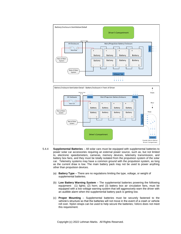



- 5.4.4 **Supplemental Batteries**  All solar cars must be equipped with supplemental batteries to power solar car accessories requiring an external power source, such as, but not limited to, electronic speedometers, cameras, memory devices, telemetry transmission, and battery box fans, and they must be totally isolated from the propulsion system of the solar car. Telemetry systems may have a common ground with the propulsion system, as long as the current draw is low. The main battery pack may not be used to power anything other than propulsion devices.
	- (a) **Battery Type** There are no regulations limiting the type, voltage, or weight of supplemental batteries.
	- (b) **Low Battery Warning System**  The supplemental batteries powering the following equipment: (1) lights; (2) horn; and (3) battery box air circulation fans, must be equipped with a low voltage warning system that will aggressively warn the driver with an audible alarm when the supplemental battery pack is getting low.
	- (c) **Proper Mounting**  Supplemental batteries must be securely fastened to the vehicle's structure so that the batteries will not move in the event of a crash or vehicle roll over. Nylon straps can be used to help secure the batteries; Velcro does not meet this requirement.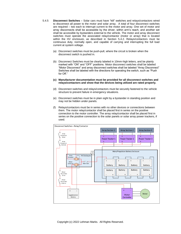- <span id="page-10-0"></span>5.4.5 **Disconnect Switches** – Solar cars must have "kill" switches and relays/contactors wired to disconnect all power to the motor and solar array. A total of four disconnect switches are required – two each to interrupt current to the motor and array. One set of motor and array disconnects shall be accessible by the driver, within arm's reach, and another set shall be accessible by bystanders external to the vehicle. The motor and array disconnect switches must operate the associated relay/contactor (motor or array) that is located within the HV enclosure, as described in Section [5.4.2.](#page-7-1) Relays/contactors must be continuous duty, normally open, and capable of carrying and interrupting the full load current at system voltage.
	- (a) Disconnect switches must be push-pull, where the circuit is broken when the disconnect switch is pushed in.
	- (b) Disconnect Switches must be clearly labeled in 10mm-high letters, and be plainly marked with "ON" and "OFF" positions. Motor disconnect switches shall be labeled "Motor Disconnect" and array disconnect switches shall be labeled "Array Disconnect" Switches shall be labeled with the directions for operating the switch, such as "Push for Off."
	- **(c) Manufacturer documentation must be provided for all disconnect switches and relays/contactors and show that the devices being utilized are rated properly.**
	- (d) Disconnect switches and relays/contactors must be securely fastened to the vehicle structure to prevent failure in emergency situations.
	- (e) Disconnect switches must be in plain sight by a bystander in standing position and may not be hidden under panels.
	- (f) Relays/contactors must be in series with no other devices or connections between them. The motor relay/contactor shall be placed first in series on the positive connection to the motor controller. The array relay/contactor shall be placed first in series on the positive connection to the solar panels or solar array power trackers, if used.

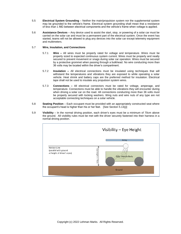- 5.5 **Electrical System Grounding** Neither the main/propulsion system nor the supplemental system may be grounded to the vehicle's frame. Electrical system grounding shall mean that a resistance of less than 1 MΩ between electrical components and the vehicle's frame when voltage is applied.
- 5.6 **Assistance Devices** Any device used to assist the start, stop, or powering of a solar car must be carried on the solar car and must be a permanent part of the electrical system. Once the event has started, teams will not be allowed to plug any devices into the solar car except telemetry equipment and multimeters.

#### 5.7 **Wire, Insulation, and Connections**

- 5.7.1 **Wire –** All wires must be properly rated for voltage and temperature. Wires must be properly sized to expected continuous system current. Wires must be properly and neatly secured to prevent movement or snags during solar car operation. Wires must be secured by a protective grommet when passing through a bulkhead. No wire conducting more than 36 volts may be located within the driver's compartment.
- 5.7.2 **Insulation –** All electrical connections must be insulated using techniques that will withstand the temperatures and vibrations they are exposed to while operating a solar vehicle. Heat shrink and battery caps are the preferred method for insulation. Electrical tape shall not be used to insulate any propulsion system wires.
- 5.7.3 **Connections –** All electrical connectors must be rated for voltage, amperage, and temperature. Connections must be able to handle the vibrations they will encounter during when driving a solar car on the road. All connections conducting more than 36 volts must be properly secured with locking washers. Wing nuts and wire nuts of any type are not acceptable connecting techniques on a solar vehicle.
- 5.8 **Seating Position** Each occupant must be provided with an appropriately constructed seat where the occupant's head is higher than his or her feet. [See Section [5.13](#page-14-0)[\(j\)\]](#page-15-0)
- 5.9 **Visibility** In the normal driving position, each driver's eyes must be a minimum of 70cm above the ground. All visibility rules must be met with the driver securely fastened into their harness in a normal driving position.

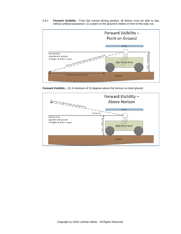5.9.1 **Forward Visibility** - From the normal driving position, all drivers must be able to see, without artificial assistance: (1) a point on the ground 8 meters in front of the solar car.



**Forward Visibility** – (2) A minimum of 10 degrees above the horizon on level ground.

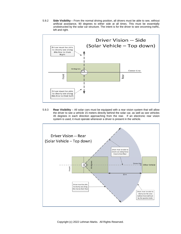5.9.2 **Side Visibility** – From the normal driving position, all drivers must be able to see, without artificial assistance, 90 degrees to either side at all times. This must be essentially unobstructed by the solar car structure. The intent is for the driver to see oncoming traffic, left and right.



5.9.3 **Rear Visibility** – All solar cars must be equipped with a rear vision system that will allow the driver to see a vehicle 15 meters directly behind the solar car, as well as see vehicles 45 degrees in each direction approaching from the rear. If an electronic rear vision system is used, it must operate whenever a driver is present in the vehicle.

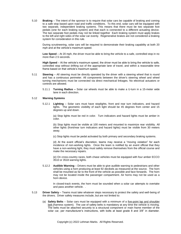<span id="page-14-1"></span>5.10 **Braking** – The intent of the sponsor is to require that solar cars be capable of braking and coming to a safe stop based upon road and traffic conditions. To this end, solar cars will be equipped with two separate, independent braking systems. This means that there must be two separate foot pedals (one for each braking system) and that each is connected to a different actuating device. The two separate foot pedals may not be linked together Each braking system must apply brakes to the left and right sides of the solar car evenly. Regenerative brakes are not considered a braking system for consideration in this rule.

During scrutineering, solar cars will be required to demonstrate their braking capability at both 20 mph and at the vehicle's maximum speed.

**Low Speed** – At 20 mph, the driver must be able to bring the vehicle to a safe, controlled stop in no more than 2.5 seconds.

**High Speed** – At the vehicle's maximum speed, the driver must be able to bring the vehicle to safe, controlled stop without drifting out of the appropriate lane of travel, and within a reasonable time frame based on that vehicle's maximum speed.

- 5.11 **Steering** All steering must be directly operated by the driver with a steering wheel that is round and has a continuous perimeter. All components between the driver's steering wheel and wheel turning mechanisms must be connected via direct mechanical linkages. No electrical actuators or controls are allowed.
	- 5.11.1 **Turning Radius –** Solar car wheels must be able to make a U-turn in a 15-meter wide lane in each direction.

#### 5.12 **Warning Systems**

5.12.1 **Lighting** – Solar cars must have stoplights, front and rear turn indicators, and hazard lights. The geometric visibility of each light should be 45 degrees from center and 15 degrees up and down.

(a) Stop lights must be red in color. Turn indicators and hazard lights must be amber in color.

(b) Stop lights must be visible at 100 meters and mounted to maximize rear visibility. All other lights (front/rear turn indicators and hazard lights) must be visible from 30 meters away.

(c) Stop lights must be pedal activated by both primary and secondary braking systems.

(d) At the event official's discretion, teams may receive a "moving violation" for each incidence of non-working lights. Once the team is notified by an event official that they have a non-working light, they must safely remove themselves from the official course and make the necessary repairs.

(e) On cross-country races, both chase vehicles must be equipped with four amber ECCO 3510 or 3518 warning lights.

5.12.2 **Audible Warning** – Drivers must be able to give audible warning to pedestrians and other vehicles using a horn producing at least 92 decibels as measured at the source. The horn shall be mounted as far to the front of the vehicle as possible and face forwards. The horn may not be located inside the passenger compartment. Air horns may not be used as a horn device.

In closed-track events, the horn must be sounded when a solar car attempts to overtake and pass another vehicle. .

- <span id="page-14-0"></span>5.13 **Driver Safety** – Teams must take whatever steps necessary to protect the safety and well-being of the drivers. Driver safety measures include, but are not limited to:
	- (a) **Safety Belts** Solar cars must be equipped with a minimum of a five-point lap and shoulder belt (harness system). The use of safety belts is mandatory at any time the vehicle is moving. The belts must be attached securely to a structural component or main frame member of the solar car, per manufacturer's instructions, with bolts at least grade 8 and 3/8" in diameter.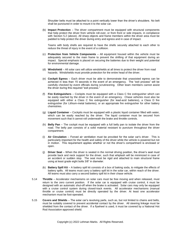Shoulder belts must be attached to a point vertically lower than the driver's shoulders. No belt shall be punctured in order to mount it to the solar car.

(b) **Impact Protection** – The driver compartment must be equipped with structural components that help protect the driver from vehicle roll-over, or from front or side impacts, in compliance with Section [5.2](#page-5-1) (above). All sharp objects and frame members within the driver area must be padded to help protect the driver during entry and egress and in case of impact.

Teams with body shells are required to have the shells securely attached to each other to reduce the threat of injury in the event of a collision.

- (c) **Protection from Vehicle Components** All equipment housed within the vehicle must be adequately secured to the main frame to prevent the shifting of that equipment during an impact. Special emphasis is placed on securing the batteries due to their weight and potential for environmental damage.
- (d) **Windshield** All solar cars will utilize windshields at all times to protect the driver from road hazards. Windshields must provide protection for the entire head of the driver.
- (e) **Cockpit Egress** Each driver must be able to demonstrate that unassisted egress can be achieved in less than 15 seconds in the event of an emergency. The "exit process" will be carefully checked by event officials during scrutineering. Other team members cannot assist the driver during this required "exit process."
- (f) **Fire Extinguishers** Cockpits must be equipped with a Class C fire extinguisher which can be easily reached by the driver in the event of an emergency. Chase vehicles must also be equipped with either a Class C fire extinguisher (for lead-acid batteries), a Class D fire extinguisher (for Lithium-metal batteries), or an appropriate fire extinguisher for other battery chemistries.
- (g) **Liquid Container** Cockpits must be equipped with a plastic liquid container filled with water, which can be easily reached by the driver. The liquid container must be secured from movement such that it cannot roll underneath the brake and throttle controls.
- (h) **Belly Pan** The cockpit must be equipped with a full belly pan to isolate the driver from the road. The belly pan consists of a solid material resistant to puncture throughout the driver compartment.
- (i) **Air Circulation** Forced air ventilation must be provided for the solar car's driver. This is particularly important for the health and safety of the driver while the vehicle is powered but not in motion. This requirement applies whether or not the driver's compartment is enclosed or open.
- <span id="page-15-0"></span>(j) **Driver Seat** – When the driver is seated in the normal driving position, the driver's seat must provide back and neck support for the driver, such that whiplash will be minimized in case of an accident or sudden stop. The seat must be rigid and attached to main structural frame using at least grade eight bolts 3/8" in diameter.
- (k) **Battery Spill Kit** A battery spill kit consists of a box of baking soda, to mitigate the effects of battery spills. All teams must carry a battery spill kit in the solar car, within reach of the driver. All teams must also carry a second battery spill kit in their chase vehicle.
- <span id="page-15-1"></span>5.14 **Throttle** – Accelerator mechanisms on solar cars must be free moving and when released, must return to the zero current position. If the solar car is equipped with cruise control, it must be designed with an automatic shut-off when the brake is activated. Solar cars may only be equipped with a cruise control system during closed-track events. All accelerator mechanisms (manual throttle or cruise control) must be directly operated by the driver. At least one accelerator mechanism must be foot-operated.
- 5.15 **Co**v**ers and Shields** The solar car's revolving parts, such as, but not limited to chains and belts, must be suitably covered to prevent accidental contact by the driver. All steering linkage must be shielded from the contact of the driver. If a flywheel is used, it must be covered by a National Hot Rod Association-approved shield.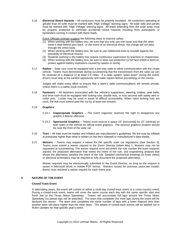5.16 **Electrical Shock Hazards** – All conductors must be properly insulated. All conductors operating at greater than 36 volts must be marked with "High Voltage" warning signs. All solar cells and panels must be marked with "High Voltage" warning signs. All leads extending from the solar array must be properly protected to eliminate accidental shock hazards resulting from participants or bystanders coming in contact with these leads.

Event Officials strongly suggest the following steps to improve safety:

- (1) When working with the battery box, be sure that you only use one hand, and that the other hand is kept behind your back. In the event of an electrical shock, the charge will not pass through the entire body.
- (2) When working with the battery box, be sure to use rubberized tools to insulate against the possibility of electrical shocks.
- (3) Students working in the battery box require continuous supervision by teachers or chaperones.
- (4) When working with the battery box, be sure to wear eye protection (a full face shield is best) to protect against battery explosions caused by sparks or arcing.
- 5.17 **Radios** Solar cars must be equipped with a two-way radio to allow communication with the chase vehicle. Teams must demonstrate during scrutineering that the transmission from the solar car can be received at a distance of at least 0.5 miles. If a radio system "goes down" during the event, drivers must stop at the earliest opportunity and make repairs before proceeding on the course.

Judges will make every effort to ensure that a team's radio communications will remain private, unless there is a safety issue involved.

- 5.18 **Fasteners** All fasteners associated with the vehicle's suspension, steering, brakes, seat belts, and drive train must be equipped with locking nuts, double nuts, or nuts secured with safety wire or cotter pins. *Loctite* may be used in areas of difficult accessibility. When nylon locking nuts are used, the bolt must extend past the nut by at least two threads.
- 5.19 **Graphics**
	- 5.19.1 **Inappropriate Graphics** The event organizer reserves the right to disapprove any graphic it deems offensive.
	- 5.19.2 **Sponsored Graphics** Teams must reserve a space 10" (horizontal) by 10" (vertical) on both sides of the vehicle for official event graphics. The sponsor graphics location should be near the front of the solar car.
- 5.20 **Tires** All tires must be loaded and inflated per manufacturer's guidelines. No tire may be inflated at pressures higher than what is written on the tire's sidewall or manufacturer's data sheets.
- 5.21 **Waivers** Teams may request a waiver for the specific solar car regulations [See Section [5\]](#page-4-0). Teams must submit a waiver request to the Event Director before May 1. Waivers may not be requested at scrutineering. The waiver request must document the rule number the team requests waived, the proposed alternative that meets the intent of the rule, and engineering analysis that shows the alternative satisfies the intent of the rule. Detailed mechanical drawings (in three views) or electrical schematics may be required to fully document the proposed alternative.

Waiver requests may be electronically submitted to the Event Director, so long as the request is saved in Microsoft Word or Adobe PDF format. Waivers issued for previous years are invalid; teams must resubmit a waiver request for each event year.

#### **6 NATURE OF THE EVENT**

#### **Closed-Track Event**

In alternating years, the event will consist of either a multi-day closed-track event or a cross-country event. During a closed-track event, teams will cover the same course each day with the same specific start and finish line at the Texas Motor Speedway. Teams will accumulate full laps around the Texas Motor Speedway (no partial laps will be awarded). The team that completes the most laps during the event will be declared the winner. The team that completes the same number of laps with a lower elapsed time than another team will place higher than the other team. The details of closed-track events will be spelled out in *Rules Updates* for that specific year's event.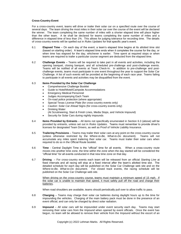#### **Cross-Country Event**

For a cross-country event, teams will drive or trailer their solar car on a specified route over the course of several days. The team driving the most miles in their solar car over the course of the event will be declared the winner. The team completing the same number of miles with a shorter elapsed time will place higher than the other team. A tie shall be declared for teams completing the same number of miles and a difference in elapsed time of less than 1%. This allows for judging tolerance for recording time. The details of cross-country events will be spelled out in *Rules Updates* for that specific year's event.

- 6.1 **Elapsed Time** On each day of the event, a team's elapsed time begins at its allotted time slot (based on starting order). A team's elapsed time ends when it completes the course for the day, or when time has elapsed for the day, whichever is earlier. Time spent at required stops or when teams are required to trailer a particular course segment are deducted from the elapsed time.
- 6.2 **Challenge Events** Teams will be required to take part in all events and activities, including the opening banquet, closing banquet, and all scheduled pre-challenge and post-challenge events. Teams will be notified of all events at Team Check-In. In addition to pre-challenge and postchallenge events, teams must participate in one event throughout the year to support the Solar Car Challenge. A list of such events will be provided at the beginning of each race year. Teams failing to participate in all events and activities may be disqualified from the event.

#### <span id="page-17-0"></span>6.3 **Items Provided by the Solar Car Challenge**

- Comprehensive Challenge Booklet
- Guide to Hotel/Motel/Campsite Accommodations
- Emergency Medical Personnel
- Judges Accompanying Each Team
- On-road police protection (where appropriate)
- Special Texas License Plate (for cross-country events only)
- *Caution: Solar Car Ahead* Signs (for cross-country events only)
- Drinking Water
- (At Scrutineering, Start & Finish Lines, Media Stops, and Vehicle Impound)
- Security for Solar Cars during nightly impounds
- 6.4 **Items Provided by Entrants** All items not specifically enumerated in Section [6.3](#page-17-0) (above) will be provided by entrants, unless set out in *Rules Updates*. Teams must remember to provide driver's licenses for designated Team Drivers, as well as Proof of Vehicle Liability Insurance.
- 6.5 **Trailering Provisions** Teams may trailer their solar cars at any point on the cross-country course (unless otherwise restricted by the *Where-to-Be, What-to-Do* document). Teams will not accumulate any miles spent trailering their solar car. Teams must trailer their solar cars when required to do so in the Official Route booklet.
- 6.6 **Time** Central Daylight Time is the "official" time for all events. When a cross-country route moves into another time zone, the time within the zone when the day started will be considered the "official time" for all events conducted in that new time zone on that day.
- 6.7 **Driving**  For cross-country events each team will be released from an official *Starting Line* at fixed intervals and all racing will stop at a fixed interval after the team's allotted time slot. The detailed schedule for each day will be published on the Solar Car Challenge web site and on the *Where-to-Be, What-to-Do* document. For closed track events, the racing schedule will be published on the Solar Car Challenge web site.

When driving on the cross-country course, teams must maintain a minimum speed of 15 mph. If the solar car is unable to maintain that speed, it must safely pull off the road and charge their batteries.

When road shoulders are available, teams should periodically pull over to allow traffic to pass.

- 6.8 **Charging** Teams may charge their solar car batteries during daylight hours up to the time for impounding the vehicles. Charging of the main battery pack must be done in the presence of an event official, and can only be charged by direct solar radiation.
- 6.9 **Impound** All solar cars will be impounded under event security each day. Teams may start removing their solar cars from the Impound when opened by event officials. Once the event has begun, no team will be allowed to remove their vehicle from the Impound without the escort of an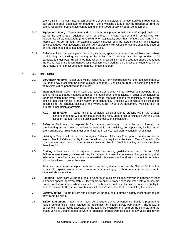event official. The car must remain under the direct supervision of an event official throughout the day until it is again submitted for impound. Teams violating this rule may be disqualified from the event. Specific impound times can be found on the *Where-to-Be, What-to-*Do document.

- 6.10 **Equipment Safety** Teams may and should bring equipment to maintain and/or repair their solar car to the event. Such equipment shall be stored in a safe manner and in compliance with appropriate safety regulations (e.g. OSHA) when applicable, such that members and surrounding teams will not be harmed. For example, welding gasses shall be stored vertically and strapped down so it does not inadvertently tip over. Any equipment with wheels or casters should be secured or tilted such that it does not cause someone to slip.
- 6.11 **Attire** Attire for all participants (including students, sponsors, chaperones, advisors, and others participating or traveling with team) in the Solar Car Challenge must be appropriate. All participants must wear full-brimmed hats when in direct sunlight and closed-toe shoes throughout the event. Jeans are recommended for protection when working on the car and when kneeling on the ground. Shorts must be longer than the longest fingertip.

#### **7 SCRUTINEERING**

- 7.1 **Scrutineering Time** Solar cars will be inspected to verify compliance with the regulations at 8:00 AM on the day preceding the event (subject to change). Vehicles not ready to begin scrutineering at this time will be penalized up to 5 miles.
- 7.2 **Inspected Solar Cars** Solar Cars that pass scrutineering will be allowed to participate in the event. Vehicles that do not pass scrutineering must correct the deficiency in order to be considered for participation in the event. After repairs are made, the team has the responsibility to notify event officials that their vehicle is again ready for scrutineering. Vehicles will continue to be inspected according to the schedule set out in the *Where-to-Be What-to-Do* document. Vehicles may be subject to inspection at any time.
	- 7.2.1 **Elimination –** Teams failing to complete all scrutineering stations within the allotted scrutineering time will be eliminated from the race, upon direct consultation with the Event Director. No team shall be eliminated without such consultation.
- 7.3 **Safety** Each team is responsible for the road-worthiness of its solar car. Passing the scrutineering process does not relieve the team of its responsibility, nor impose any liability on the event organizers. Solar cars must be maintained in a safe, road-worthy condition at all times.
- <span id="page-18-0"></span>7.4 **Liability** – Teams will be required to sign a Release of Liability Form prior to admission to the event. Proof of Vehicle Liability Insurance will also be required at the time of Team Check-In. On cross-country event years, teams must submit their Proof of Vehicle Liability Insurance no later than June 1st.
- 7.5 **Braking** Solar cars will be required to meet the braking guidelines set out in Section [5.10.](#page-14-1) Failure to meet these guidelines will require the team to make the necessary changes to bring their vehicle into compliance, and then to be re-tested. Any solar car that does not pass the brake test will not be allowed to enter the event.

Teams whose cars are equipped with cruise control systems, as allowed by Section [5.14,](#page-15-1) will be required to explain how the cruise control system is disengaged when brakes are applied, and to demonstrate its function.

- 7.6 **Handling** Solar cars will be required to run through a slalom course, weaving in-between at least six cones spaced approximately 40 feet apart, to ensure proper handling when lateral forces are exerted on the frame and wheel assemblies. Each driver must pass the slalom course to quality to drive in the event. Drivers receive their official "driver's wrist band" after completing the slalom.
- 7.7 **Safety Meeting** Team drivers and advisors will be required to attend a safety meeting scheduled after Team Check-in.
- 7.8 **Safety Equipment** Each team must demonstrate during scrutineering that it is prepared to handle emergencies. This includes the designation of a *team safety coordinator*. The following equipment must be easily accessible to the team: fire extinguishers (both on the solar car and the chase vehicles), traffic cones or warning triangles, orange warning flags, safety vests (for driver,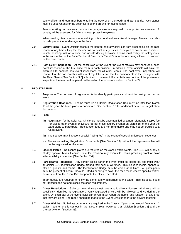safety officer, and team members entering the track or on the road), and jack stands. Jack stands must be used whenever the solar car is off the ground for maintenance.

Teams working on their solar cars in the garage area are required to use protective eyewear. A penalty will be assessed for failure to wear protective eyewear.

When welding, teams must use a welding curtain to shield from visual damage. Teams must also provide protection for damage to the floor.

- 7.9 **Safety Holds** Event Officials reserve the right to hold any solar car from proceeding on the race course at any time if they feel the car has potential safety issues. Examples of safety issues include unsafe handling, risk of rollover, and unsafe driving behavior. Teams must rectify the safety issue to the satisfaction of the Race Technical Director or Event Director before being allowed to proceed on the race course.
- 7.10 **Post-Event Inspection** At the conclusion of the event, the event officials may conduct a postevent inspection of the first place team in each division. In addition, event officials will have the discretion to conduct post-event inspections for all other teams. The post-event inspection will confirm that the car complies with event regulations and that the components in the car agree with the Data Sheets [See Section [3.6\]](#page-3-0) submitted to the event. If a car fails any portion of the post-event inspection, the team will be penalized based on the provisions set out in Sectio[n 24.](#page-24-0)

#### **8 REGISTRATION**

- 8.1 **Purpose** The purpose of registration is to identify participants and vehicles taking part in the event.
- 8.2 **Registration Deadlines** Teams must file an Official Registration Document no later than March 1<sup>st</sup> of the year the team plans to participate. See Section [3.6](#page-3-0) for additional details on registration documents.

#### <span id="page-19-0"></span>8.3 **Fees**

- (a) Registration for the Solar Car Challenge must be accompanied by a non-refundable \$1,500 fee (for closed-track events) or \$2,000 fee (for cross-country events) on March 1st of the year the team plans to participate. Registration fees are non-refundable and may not be credited to a future event.
- (b) The sponsor may impose a special "racing fee" in the event of special, unforeseen expenses.
- (c) Teams submitting Registration Documents [See Section [3.6\]](#page-3-0) without the registration fee will not be registered for the event.
- 8.4 **License Plates** No license plates are required on the closed-track events. The SCC will supply a 30-day special Texas License Plate for cross-country events to teams providing proof of solar vehicle liability insurance. [See Sectio[n 7.4\]](#page-18-0)
- 8.5 **Participants Registered** Any person taking part in the event must be registered, and must wear an official SCC Identification Badge around their neck at all times. This includes media, sponsors, officials, guests, and teams. The Identification Badge must be visible at all times. All participants must be present at Team Check-In. Media seeking to cover the race must receive specific written permission from the Event Director prior to the official race start.

Team guests are required to follow the same safety guidelines as the team. This includes, but is not limited to the hat and closed-toe shoe requirement.

- 8.6 **Driver Restrictions** Solar car team drivers must have a valid driver's license. All drivers will be specifically identified at registration. Only registered drivers will be allowed to drive during the event. On each day of the event, solar car drivers must report the name (and function) of any drug that they are using. The report should be made to the Event Director prior to the drivers' meeting.
- 8.7 **Driver Weight** No ballast provisions are required in the Classic, Open, or Advanced Divisions. A ballast requirement is set out in the Electric-Solar Powered Car Division [Section [32\]](#page-27-0) and the Cruiser Division [Sectio[n 33\]](#page-29-0).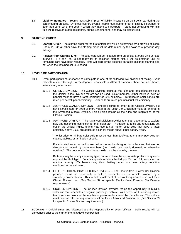8.8 **Liability Insurance** – Teams must submit proof of liability insurance on their solar car during the scrutineering process. On cross-country events, teams must submit proof of liability insurance no later than June 1st of the year in which they intend to participate. Teams not complying with this rule will receive an automatic penalty during Scrutineering, and may be disqualified.

#### **9 STARTING ORDER**

- 9.1 **Starting Order** The starting order for the first official day will be determined by a drawing at Team Check-In. On all other days, the starting order will be determined by the solar cars' previous day mileage.
- 9.2 **Release from Starting Line** The solar cars will be released from an official Starting Line at fixed intervals. If a solar car is not ready for its assigned starting slot, it will be detained until all remaining cars have been released. Time will start for the detained car at its assigned starting slot, not when the detained car is released.

#### <span id="page-20-0"></span>**10 LEVELS OF PARTICIPATION**

- 10.1 Event participants must choose to participate in one of the following five divisions of racing. Event Officials reserve the right to recategorize teams into a different division if there are less than 3 teams in any one division.
	- 10.1.1 CLASSIC DIVISION The Classic Division retains all the rules and regulations set out in the Official Rules. No hub motors can be used. Solar modules (either individual cells or panels) must be have a rated efficiency of 20% or below. Prefabricated solar panels are rated per overall panel efficiency. Solar cells are rated per individual cell efficiency.
	- 10.1.2 ADVANCED CLASSIC DIVISION Schools desiring to enter in the Classic Division, but have participated for three or more years in the Solar Car Challenge must be entered in the Advanced Classic Division. This division retains all the rules and regulations of the Classic Division.
	- 10.1.3 ADVANCED DIVISION The Advanced Division provides teams an opportunity to explore new and upcoming technology for their solar car. In addition to rules and regulations set out in the Official Rules, teams may use a hub motor, solar cells that have a rated efficiency above 19%, prefabricated solar car molds and/or other battery types.

The list price for all bare solar cells must be less than \$10/watt; teams may pay extra for cutting, tabbing, or lamination of cells.

Prefabricated solar car molds are defined as molds designed for solar cars that are not directly constructed by team members (i.e. molds purchased, donated, or otherwise obtained). The body made from these molds must be made by the team.

Batteries may be of any chemistry type, but must have the appropriate protection systems required by that type. Battery capacity remains limited per Section [5.4,](#page-7-2) measured at nominal capacity (1C). Teams using lithium battery packs must have battery protection monitored at the cell level.

- 10.1.4 ELECTRIC-SOLAR POWERED CAR DIVISION The Electric-Solar Power Car Division provides teams the opportunity to build a two-seater electric vehicle powered by a stationary power station. This vehicle must meet all relevant requirements set out for a Classic Division car. [See Section [32](#page-27-0) for specific Electric-Solar Powered Car Division requirements.]
- 10.1.5 CRUISER DIVISION The Cruiser Division provides teams the opportunity to build a solar car that resembles a regular passenger vehicle. With seats for 4 including driver, teams receive points for the number of person-miles carried by the solar car. This vehicle must meet all relevant requirements set out for an Advanced Division car. [See Section 33 for specific Cruiser Division requirements.]
- **11 SCORING –** Official times and distances are the responsibility of event officials. Daily results will be announced prior to the start of the next day's competition.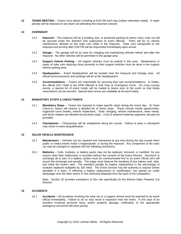**12 TEAMS MEETING –** Teams must attend a briefing at 8:00 AM each day (unless otherwise noted). A major penalty will be imposed on any team not attending this important session.

#### **13 OVERNIGHT**

- 13.1 **Impound** The impound will be a building, tent, or protected parking lot where every solar car will be secured under the direction and supervision of event officials. There will be no vehicle maintenance allowed on the solar cars while in the Impound. Solar cars transported to the Impound and arriving after 9:00 PM will be impounded immediately upon arrival.
- 13.2 **Garage** The garage will be an area for charging and maintaining vehicles before and after the impound. No other vehicles will be permitted in the garage area.
- 13.3 **Support Vehicle Parking** All support vehicles must be parked in this area. Maintenance or repair of solar cars requiring close proximity to their support vehicles must be done in the support vehicle parking area.
- 13.4 **Headquarters** Event Headquarters will be located near the Impound and Garage area. All official announcements and postings will be at the Headquarters.
- 13.5 **Accommodations** Teams are responsible for securing their own accommodations. In Dallas, the official SCC Hotel is the DFW Marriott & Golf Club at Champions Circle. On cross-country events, a special list of event hotels will be mailed to teams prior to the event so that timely reservations can be secured. Special team prices are available at all event hotels.

#### **14 MANDATORY STOPS & CHECK POINTS**

- 14.1 **Mandatory Stops** Teams are required to make specific stops during the event day. At Team Check-In, teams will receive a detailed list of these stops. These include media opportunities, organized lunch breaks, vehicle inspections. Solar charging, vehicle maintenance, team needs, and driver rotation are allowed during these stops. A list of required trailering segments will also be provided.
- 14.2 **Checkpoints** Checkpoints will be established along the course. Failure to pass a checkpoint may result in event disqualification.

#### **15 SOLAR VEHICLE MAINTENANCE**

- 15.1 **Maintenance** Vehicles can be repaired and maintained at any time during the day except when public or media events make it inappropriate, or during the impound. Any component of the solar car may be changed or repaired with the following restrictions.
- <span id="page-21-0"></span>15.2 **Batteries** – Cells, modules, or battery packs may not be replaced, removed, or modified for any reason other than malfunction or accident without the consent of the Event Director. Decisions to exchange all or part of a battery system must be communicated first to an event official who will record the exchange and penalty. The judge must observe the breaking of any battery seal, date, and initial the broken seal. The standard penalty for battery replacement is the percentage of modules replaced multiplied by 100 miles. The Event Director has the authority to impose further penalties if a team, in effecting a battery replacement or modification, has gained an unfair advantage over the other teams or has otherwise departed from the spirit of the competition.

Note: Section [32](#page-27-0) provides exceptions to this rule specifically for the Electric-Solar Powered Car Division.

#### **16 ACCIDENTS**

16.1 **Accidents –** All accidents involving the solar car or a support vehicle must be reported to an event official immediately. Failure to do so may result in expulsion from the event. In the case of an accident involving personal injury and/or property damage, notification of the appropriate emergency personnel will have priority.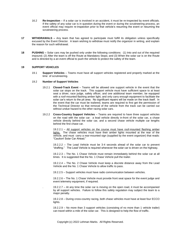- 16.2 **Re-Inspection** If a solar car is involved in an accident, it must be re-inspected by event officials. If the safety of any solar car is in question during the event or during the scrutineering process, an event official may require re-inspection prior to that vehicle's resuming the event or resuming the scrutineering process.
- **17 WITHDRAWALS –** Any team that has agreed to participate must fulfill its obligation unless specifically excused by the Event Director. A team wishing to withdraw must notify the organizer in writing, and explain the reason for such withdrawal.
- **18 PUSHING –** Solar cars may be pushed only under the following conditions: (1) Into and out of the required impound; (2) After the team is off the Route at Mandatory Stops; and (3) When the solar car is on the Route and is directed by a an event official to push the vehicle to protect the safety of the team.

#### **19 SUPPORT VEHICLES**

19.1 **Support Vehicles** – Teams must have all support vehicles registered and properly marked at the time of scrutineering.

#### 19.2 **Number of Support Vehicles**

- 19.2.1 **Closed-Track Event** Teams will be allowed one support vehicle in the event that the solar car stops on the track. This support vehicle must have sufficient space to at least seat a driver, race judge, safety officer, and one additional team member, be equipped with a roof-mounted flashing amber light, and only carry enough equipment to facilitate the solar car's return to the pit area. No significant repairs will be made on the track itself. In the event that the car must be trailered, teams are required to first get the permission of the Technical Director so that removal of the vehicle from the track can be carried out without undue hazard to the other racing solar cars.
- 19.2.2 **Cross-Country Support Vehicles** Teams are required to have three support vehicles on the road with the solar car: a lead vehicle directly in-front of the solar car, a chase vehicle directly behind the solar car, and a second chase vehicle multiple car lengths behind the first chase car.

19.2.2.1 – All support vehicles on the course must have roof-mounted flashing amber lights. The chase vehicles must have their amber lights mounted at the rear of the vehicle, and must carry a rear-mounted sign (supplied by the event organizer) that reads: "Caution! Solar Car Ahead."

19.2.2.2 – The Lead Vehicle must be 3-4 seconds ahead of the solar car to prevent "drafting." The Lead Vehicle is required whenever the solar car is driven on the highway.

19.2.2.3 – The No. 1 Chase Vehicle must remain immediately behind the solar car at all times. It is suggested that the No. 1 Chase Vehicle pull the trailer.

19.2.2.4 – The No. 2 Chase Vehicle must keep a discrete distance away from the Lead Vehicle and the No. 1 Chase Vehicle to allow traffic to pass.

19.2.2.5 – Support vehicles must have radio communication between vehicles.

19.2.2.6 – The No. 1 Chase Vehicle must provide front seat space for the event judge and event telemetry equipment, if required.

. 19.2.2.7 – At any time the solar car is moving on the open road, it must be accompanied by all support vehicles. Failure to follow this safety regulation may subject the team to a major penalty.

19.2.2.8 – During cross-country racing, both chase vehicles must have at least four ECCO lights.

19.2.2.9 – No more than 3 support vehicles (consisting of no more than 1 vehicle trailer) can travel within a mile of the solar car. This is designed to help the flow of traffic.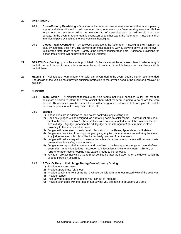#### <span id="page-23-0"></span>**20 OVERTAKING**

- 20.1 **Cross-Country Overtaking** Situations will arise when slower solar cars (and their accompanying support vehicles) will need to pull over when being overtaken by a faster-moving solar car. Failure to pull over, or recklessly pulling out into the path of a passing solar car, will result in a major penalty. In the event that one team is overtaken by another team, the faster team must signal their intention to pass by flashing the lead vehicle's headlights.
- 20.2 **Closed-Track Overtaking** On a closed-track event, the faster team must signal their intention to pass by sounding their horn. The slower team must then give way by slowing down or pulling over to allow the faster team to pass. Safety is the primary consideration here. Additional provisions for closed-track events will be provided in *Rules Updates*.
- **21 DRAFTING**  Drafting by a solar car is prohibited. Solar cars must be no closer than 4 vehicle lengths behind the car in front of them; solar cars must be no closer than 3 vehicle lengths to their chase vehicle behind them.
- **22 HELMETS –** Helmets are not mandatory for solar car drivers during the event, but are highly recommended. The design of the vehicle must provide sufficient protection to the driver's head in the event of a rollover, or collision.

#### **23 JUDGING**

23.1 **Team Action** – A significant technique to help teams not incur penalties is for the team to designate a liaison to inform the event official about what the team is going to do before the team does it! This includes how the team will deal with emergencies, intentions to trailer, plans to switchout drivers, plans to make unspecified stops, etc.

#### 23.2 **Judges**

- (1) These rules are in addition to, and do not contradict any existing rule.
	- (2) Each day, judges will be assigned, on a rotating basis, to solar teams. Teams must provide a seat in the front of the No. 1 Chase Vehicle with an unobstructed view of the solar car for the Team Judge. A judge (meaning the adult judge or the intern/judge) must remain in close proximity to the solar car at all times.
	- (3) Judges will be required to enforce all rules set out in the Rules, Appendices, or Updates.
	- (4) Judges are prohibited from supporting or giving any tactical advice to a team during the event. Any judge violating this rule will be immediately removed from the event.
	- (5) Judges will make every effort to ensure that a team's radio communications will remain private, unless there is a safety issue involved.
	- (6) Judges must report their comments and penalties to the headquarters judge at the end of each event day. In addition, judges must report any favoritism shown to any team. A history of "errors" or poor record-keeping may cause a judge to be removed.
	- (7) Any team protest involving a judge must be filed no later than 9:00 PM on the day on which the alleged infraction occurred.

#### 23.3 **A Team's Duty to their Judge During Cross-Country Driving**

- (1) Provide lunch and water
- (2) Provide appropriate "pit" stops
- (3) Provide seat in the front of the No. 1 Chase Vehicle with an unobstructed view of the solar car
- (4) Provide respect
- (5) Pick up your judge prior to getting your car out of Impound
- (6) Provide your judge with information about what you are going to do *before* you do it!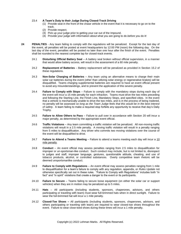#### 23.4 **A Team's Duty to their Judge During Closed-Track Driving**

- (1) Provide seat in the front of the chase vehicle in the event that it is necessary to go on to the track.
- (2) Provide respect.
- (3) Pick up your judge prior to getting your car out of the Impound.
- (4) Provide your judge with information about what you are going to do *before* you do it!
- <span id="page-24-0"></span>**24 PENALTIES** - Any team failing to comply with the regulations will be penalized. Except for the last day of the event, all penalties will be posted at event headquarters by 12:00 PM (noon) the following day. On the last day of the event, penalties will be posted no later than one hour after the finish of the event. Penalties shall be rounded to the nearest complete lap for closed-track events.
	- 24.1 **Disturbing Official Battery Seal** A battery seal broken without official supervision, in a manner that would allow battery access, will result in the assessment of a 60 mile penalty.
	- 24.2 **Replacement of Batteries** Battery replacement will be penalized as provided in Section [15.2](#page-21-0) of these regulations.
	- 24.3 **Non-Solar Charging of Batteries** Any team using an alternative means to charge their main solar car batteries during the event (other than utilizing solar energy or regenerative brakes) will be disqualified. Teams charging supplemental batteries are required to have an event official present to avoid any misunderstandings, and to prevent the application of this severe penalty.
	- 24.4 **Failure to Comply with Stops** Failure to comply with the mandatory stops during each day of the event will incur a 15 mile penalty for each infraction. Teams must drive the two miles preceding and following the Starting Line, the Finish Line, Mandatory Stops, and specified cities. In the event that a vehicle is mechanically unable to drive the two miles, and is in the process of being trailered, no penalty will be assessed *so long as the Team Judge feels that this would be in the best interest of safety*. A team failing to make a required stop forfeits any opportunity to receive that day's Daily Trophy.
	- 24.5 **Failure to Allow Others to Pass** Failure to pull over in accordance with Section [20](#page-23-0) will incur a major penalty, as determined by the appropriate event official.
	- 24.6 **Traffic Violations** Any team committing a traffic violation will be penalized. All non-moving traffic violations will result in a 2.5 mile penalty. A moving traffic violation will result in a penalty ranging from 5 miles to disqualification. Any driver who commits two moving violations over the course of the event will be disqualified to drive.
	- 24.7 **Failure to Attend a Teams Meeting** Failure to attend a teams meeting each day will incur a 10 mile penalty.
	- 24.8 **Conduct** An event official may assess penalties ranging from 2.5 miles to disqualification for improper or un-sportsman-like conduct. Such conduct may include, but is not limited to, disrespect to judges and staff, improper language, gestures, questionable attitude, cheating, and use of tobacco products, alcohol, or controlled substances. Overly competitive team rhetoric will be deemed unsportsmanlike conduct.
	- 24.9 **Failure to Comply with Regulations** An event official may assess penalties ranging from 1 mile to disqualification for a team's failure to comply with any regulation, appendix, or *Rules Update* not otherwise specifically set out in these rules. "Failure to Comply with Regulations" includes both "in fact" and "in spirit" violations that create a danger to the event or its participants.
	- 24.10 **Failure to Secure** Teams failing to secure loose equipment (on either the solar car or support vehicles) when they are in motion may be penalized up to 5 miles.
	- 24.11 **Hats** All participants (including students, sponsors, chaperones, advisors, and others participating or traveling with team) must wear full-brimmed hats when in direct sunlight. Failure to wear the full-brimmed hat will incur a 1 mile penalty.
	- 24.12 **Closed-Toe Shoes –** All participants (including students, sponsors, chaperones, advisors, and others participating or traveling with team) are required to wear closed-toe shoes throughout the event. Failure to wear close-toed shoes during these times will incur a 1 mile penalty.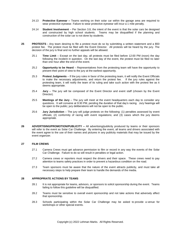- 24.13 **Protective Eyewear –** Teams working on their solar car within the garage area are required to wear protective eyewear. Failure to wear protective eyewear will incur a 1 mile penalty.
- 24.14 **Student Involvement** Per Section [3.8,](#page-3-1) the intent of the event is that the solar cars be designed and constructed by high school students. Teams may be disqualified if the planning and construction of the solar car is not done by students.
- **25 PROTESTS -** Any team desiring to file a protest must do so by submitting a written statement and a \$50 protest fee. The protest must be filed with the Event Director. All protests will be heard by the jury. The decision of the jury is final and no further appeals will be allowed.
	- 25.1 **Time Limit** Except on the last day, all protests must be filed before 12:00 PM (noon) the day following the incident in question. On the last day of the event, the protest must be filed no later than one hour after the end of the event.
	- 25.2 **Opportunity to be Heard** Representatives from the protesting team will have the opportunity to present their point of view to the jury at the earliest opportunity.
	- 25.3 **Protest Judgments** If the jury rules in favor of the protesting team, it will notify the Event Officials to make the necessary adjustments, and return the protest fee. If the jury rules against the protesting team, it will notify the team of its ruling and take such action with the protest fee as it deems appropriate.
	- 25.4 **Jury** The jury will be composed of the Event Director and event staff (chosen by the Event Director).
	- 25.5 **Meetings of the Jury** The jury will meet at the event headquarters each day to consider any questions. It will convene at 9:30 PM, pending the duration of that day's racing. Jury hearings will be open to the public; jury deliberations will not be open to the public.
	- 25.6 **Jury Jurisdiction** The jury will judge protests on the following: (1) penalties assessed by event officials; (2) conformity of racing with event regulations; and (3) cases which the jury deems appropriate.
- **26 ADVERTISING/PROMOTION/PUBLICITY –** All advertising/publicity produced by teams or their sponsors will refer to the event as Solar Car Challenge. By entering the event, all teams and drivers associated with the event agree to the use of their names and pictures in any publicity materials that may be issued by the event organizer.

#### **27 FILM CREWS**

- 27.1 Camera Crews must get advance permission to film or record in any way the events of the Solar Car Challenge. Failure to do so will result in penalties or legal action.
- 27.2 Camera crews or reporters must respect the drivers and their space. These crews need to pay attention to teams safety practices in order to prevent a hazardous condition on the road.
- 27.3 Team sponsors must be aware that the nature of the event attracts publicity, and must take all necessary steps to help prepare their team to handle the demands of the media.

#### **28 APPROPRIATE ACTIONS BY TEAMS**

- 28.1 It is not appropriate for teams, advisors, or sponsors to solicit sponsorship during the event. Teams failing to follow this guideline will be disqualified.
- 28.2 Teams must be sensitive to overall event sponsorship and not take actions that adversely affect that sponsorship.
- 28.3 Schools participating within the Solar Car Challenge may be asked to provide a venue for workshops or other special events.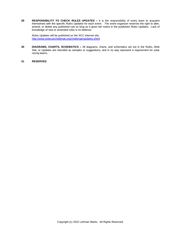**29 RESPONSIBILITY TO CHECK** *RULES UPDATES* **–** It is the responsibility of every team to acquaint themselves with the specific *Rules Updates* for each event. The event organizer reserves the right to alter, amend, or delete any published rule so long as it gives fair notice in the published *Rules Updates*. Lack of knowledge of new or amended rules is no defense.

*Rules Updates* will be published on the SCC Internet site: <http://www.solarcarchallenge.org/challenge/updates.shtml>

**30 DIAGRAMS, CHARTS, SCHEMATICS –** All diagrams, charts, and schematics set out in the Rules, Web Site, or Updates are intended as samples or suggestions, and in no way represent a requirement for solar racing teams.

#### **31 RESERVED**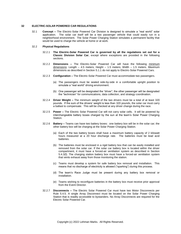#### <span id="page-27-0"></span>**32 ELECTRIC-SOLAR POWERED CAR REGULATIONS**

32.1 **Concept –** The Electric-Solar Powered Car Division is designed to simulate a "real world" solar application. The solar car itself will be a two passenger vehicle that could easily run in a neighborhood environment. The Solar Power Charging Station simulates a permanent facility that would be used to charge the vehicle at home or at work.

#### 32.2 **Physical Regulations**

- 32.2.1 **The Electric-Solar Powered Car is governed by all the regulations set out for a Classic Division Solar Car**, except where exceptions are provided in the following sections.
- 32.2.2 **Dimensions –** The Electric-Solar Powered Car will have the following minimum dimensions: Length - 4.5 meters; Height - 1.5 meters; Width - 1.5 meters. Maximum dimensions as described in Section [5.1.1](#page-4-1) do not apply to Electric-Solar Powered Cars.
- 32.2.3 **Configuration –** The Electric-Solar Powered Car must accommodate two passengers.
	- (a) The passengers must be seated side-by-side in a comfortable upright position to simulate a "real world" driving environment.
	- (b) One passenger will be designated the "driver"; the other passenger will be designated the "technician" for communications, data collection, and strategy coordination.
- 32.2.4 **Driver Weight –** The minimum weight of the two drivers must be a total of at least 320 pounds. If the sum of the drivers' weight is less than 320 pounds, the solar car must carry a ballast to compensate. This will be checked at any driver change during the race.
- 32.2.5 **Power –** The Electric Solar Powered Car will not carry solar cells. It will be powered by interchangeable battery boxes charged by the sun at the team's Solar Power Charging Station.
- 32.2.6 **Battery –** Teams can have two battery boxes: one battery box will be in the solar car; the other battery box will be charging at the Solar Power Charging Station.
	- (a) Each of the two battery boxes shall have a maximum battery capacity of 2 kilowatt hours measured at a 20 hour discharge rate. The batteries must be lead acid batteries.
	- (b) The batteries must be enclosed in a rigid battery box that can be easily installed and removed from the solar car. If the solar car battery box is located within the driver compartment, it must have a forced-air ventilation system as described in Section [5.4.3\(](#page-8-0)f). The charging station battery box must have a forced-air ventilation system that vents exhaust away from those monitoring the station.
	- (c) Teams must develop a system for safe battery box removal and installation. This means that no discharge of electricity is allowed ("sparking") during this process.
	- (d) The team's Race Judge must be present during any battery box removal or installation.
	- (e) Teams wishing to reconfigure batteries in the battery box must receive prior approval from the Event Director.
- 32.2.7 **Disconnects –** The Electric Solar Powered Car must have two Motor Disconnects per Rule [5.4.5.](#page-10-0) A single Array Disconnect must be located on the Solar Power Charging Station that is readily accessible to bystanders. No Array Disconnects are required for the Electric Solar Powered Car.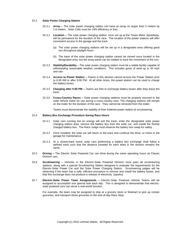#### 32.3 **Solar Power Charging Station**

- 32.3.1 **Array –** The solar power charging station can have an array no larger than 5 meters by 1.8 meters. Solar Cells must be 19% efficiency or less.
- 32.3.2 **Location –** The solar power charging station, once set up at the Texas Motor Speedway, will be permanent for the duration of the race. The location of the power stations will offer convenient access to the garage and the track.
	- (a) The solar power charging stations will be set up in a designated area offering good sun throughout daylight hours.
	- (b) The base of the solar power charging station cannot be moved once located in the designated area, but the array panel can be rotated to track the movement of the sun.
- 32.3.3 **Stability/Durability –** The solar power charging station must be a stable facility capable of withstanding reasonable weather conditions. This includes gusts of wind up to 40 mph and rain.
- 32.3.4 **Access to Power Station –** Teams in this division cannot access the Power Station prior to 6:30 AM or after 9:00 PM. At all other times, the power station can be used to charge the battery boxes.
- 32.3.5 **Charging after 5:00 PM –** Teams are free to exchange battery boxes after they leave the track.
- 32.3.6 **Cross-Country Races –** Solar power charging stations must be properly secured to the solar vehicle trailer for use during a cross-country race. The charging stations will remain on the trailer for the duration of the race. They cannot be removed from the trailer.

Teams must demonstrate the stability of their trailered power station at scrutineering.

#### 32.4 **Battery Box Exchange Procedure during Race Hours**

- 32.4.1 Solar cars running low on energy will exit the track, enter the designated solar power charging station area, remove the battery box from the solar car, and install the freshly charged battery box. The Race Judge must observe the battery box swap for safety.
- 32.4.2 Once installed, the solar car will return to the track and continue the drive, or move to the garage for maintenance.
- 32.4.3 At a closed-track event, solar cars performing a battery box exchange shall follow a defined track such that the distance traveled for each team in the division remains the same.
- 32.5 **Driving –** The Electric Solar Powered Car can drive during the same operating hours as Classic Division cars.
- 32.6 **Scrutineering** Vehicles in the Electric-Solar Powered Division must pass all scrutineering stations, along with a special Scrutineering Station designed to evaluate the requirements for the Electric-Solar Power Car and the Solar Power Charging Station. Scrutineering judges will be observing if the team has a safe, efficient procedure to remove and install the battery boxes, and that this exchange does not produce a release of electricity (sparks).
- 32.7 **Electric-Solar Power Team Assignments –** Electric-Solar Powered Vehicle Teams will be assigned to accomplish one special task each day. This is designed to demonstrate that electricsolar powered cars can serve a real-world function.

For example, the team may be assigned to stop at a grocery store or Walmart to pick up certain groceries, and transport those groceries to the end-of-day Race Stop.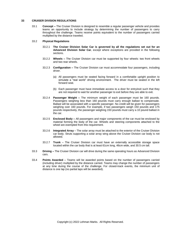#### <span id="page-29-0"></span>**33 CRUISER DIVISION REGULATIONS**

33.1 **Concept –** The Cruiser Division is designed to resemble a regular passenger vehicle and provides teams an opportunity to include strategy by determining the number of passengers to carry throughout the challenge. Teams receive points equivalent to the number of passengers carried multiplied by the distance traveled.

#### 33.2 **Physical Regulations**

- 33.2.1 **The Cruiser Division Solar Car is governed by all the regulations set out for an Advanced Division Solar Car**, except where exceptions are provided in the following sections.
- 33.2.2 **Wheels –** The Cruiser Division car must be supported by four wheels: two front wheels and two rear wheels.
- 33.2.3 **Configuration –** The Cruiser Division car must accommodate four passengers, including driver.
	- (a) All passengers must be seated facing forward in a comfortable upright position to simulate a "real world" driving environment. The driver must be seated in the left forward seat.
	- (b) Each passenger must have immediate access to a door for entry/exit such that they are not required to wait for another passenger to exit before they are able to exit.
- 33.2.4 **Passenger Weight –** The minimum weight of each passenger must be 160 pounds. Passengers weighing less than 160 pounds must carry enough ballast to compensate. Ballast will be associated with a specific passenger. No credit will be given for passengers weighing over 160 pounds. For example, if two passengers weigh 150 pounds and 175 pounds respectively, the passenger weighing 150 pounds must carry a 10 pound ballast in the car.
- 33.2.5 **Enclosed Body –** All passengers and major components of the car must be enclosed by material forming the body of the car. Wheels and steering components attached to the wheel are exempted from this requirement.
- 33.2.6 **Integrated Array** The solar array must be attached to the exterior of the Cruiser Division car body. Struts supporting a solar array wing above the Cruiser Division car body is not allowed.
- 33.2.7 **Trunk**  The Cruiser Division car must have an externally accessible storage space located within the car body that is at least 61cm long, 46cm wide, and 30.5 cm tall.
- 33.3 **Driving –** The Cruiser Division car will drive during the same operating hours as Advanced Division cars.
- 33.4 **Points Awarded**  Teams will be awarded points based on the number of passengers carried (including driver) multiplied by the distance carried. Teams may change the number of passengers at any time during the course of the challenge. For closed-track events, the minimum unit of distance is one lap (no partial laps will be awarded).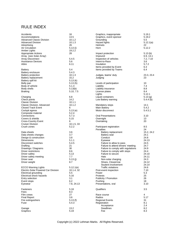## RULE INDEX

| Accidents<br>Accommodations<br>Advanced Classic Division<br><b>Advanced Division</b><br>Advertising<br>Air Circulation | 16<br>13.5<br>10.1.2<br>10.1.3<br>26<br>5.13 (i) | Graphics, inappropriate<br>Graphics, event sponsor<br>Grounding<br>Hazard lights<br><b>Helmets</b><br>Horn | 5.19.1<br>5.19.2<br>$5.5\,$<br>5.12.1(a)<br>22<br>5.12.2 |
|------------------------------------------------------------------------------------------------------------------------|--------------------------------------------------|------------------------------------------------------------------------------------------------------------|----------------------------------------------------------|
| Amber Lights                                                                                                           | 19.2.2                                           |                                                                                                            |                                                          |
| Appropriate Actions                                                                                                    | 28                                               | Impact protection                                                                                          | 5.13(b)                                                  |
| Array (see Solar Array)<br><b>Array Disconnect</b>                                                                     | 5.4.5                                            | Impound<br>Inspection of vehicles                                                                          | 6.9, 13.1<br>7.2, 7.10                                   |
| <b>Assistance Devices</b>                                                                                              | 5.6                                              | Intent-to-Race                                                                                             | 3.6                                                      |
| Attire                                                                                                                 | 6.11                                             | Insulation                                                                                                 | 5.7.2                                                    |
|                                                                                                                        |                                                  | Items provided by Event                                                                                    | 6.3                                                      |
| Battery                                                                                                                | 5.4                                              | Items provided by Teams                                                                                    | 6.4                                                      |
| Battery enclosure                                                                                                      | 5.4.3<br>10.1.3                                  |                                                                                                            |                                                          |
| Battery protection                                                                                                     | 15.2                                             | Judges, teams' duty                                                                                        | 23.3, 23.4<br>23                                         |
| Battery replacement<br>Battery spill kit                                                                               | 5.13 (k)                                         | Judging                                                                                                    |                                                          |
| Belly pan                                                                                                              | 5.13(h)                                          | Levels of participation                                                                                    | 10                                                       |
| Body of vehicle                                                                                                        | 5.1.3                                            | Liability                                                                                                  | 7.4                                                      |
| Body shells                                                                                                            | 5.13(b)                                          | Liability insurance                                                                                        | 8.8                                                      |
| Braking                                                                                                                | 5.10, 7.5                                        | License plates                                                                                             | 8.4                                                      |
|                                                                                                                        |                                                  | Lights                                                                                                     | 5.12.1                                                   |
| Charging                                                                                                               | 6.8                                              | Liquid containers                                                                                          | 5.13(g)                                                  |
| Check points                                                                                                           | 14.2                                             | Low Battery warning                                                                                        | 5.4.4(b)                                                 |
| Classic Division                                                                                                       | 10.1.1                                           |                                                                                                            |                                                          |
| Classic Division, Advanced                                                                                             | 10.1.2                                           | Mandatory stops                                                                                            | 14.1                                                     |
| Closed Track Event                                                                                                     | 6                                                | <b>Main Battery</b>                                                                                        | 5.4.2                                                    |
| Cockpit egress                                                                                                         | 5.13(e)                                          | Motor disconnect                                                                                           | 5.4.5.1                                                  |
| Composite material                                                                                                     | 5.2.4                                            |                                                                                                            |                                                          |
| Connections                                                                                                            | 5.7.3                                            | <b>Oral Presentations</b>                                                                                  | 3.10                                                     |
| Covers & shields                                                                                                       | 5.15                                             | Overnight                                                                                                  | 13                                                       |
| Cross-Country Event                                                                                                    | 6                                                | Overtaking                                                                                                 | 20                                                       |
| Cruiser Division<br>Crush zones                                                                                        | 10.1.5, 33<br>5.2.2                              | Participant registration                                                                                   | 8.5                                                      |
|                                                                                                                        |                                                  | Penalties                                                                                                  | 24                                                       |
| Data sheets                                                                                                            | 3.6                                              | Battery replacement                                                                                        | 15.2, 24.2                                               |
| Data sheets changes                                                                                                    | 3.7                                              | Battery seal                                                                                               | 24.1                                                     |
| Design & construction                                                                                                  | 3.8                                              | Conduct                                                                                                    | 24.8                                                     |
| Dimensions                                                                                                             | 5.1.1                                            | Eyewear                                                                                                    | 24.13                                                    |
| Disconnect switches                                                                                                    | 5.4.5                                            | Failure to allow to pass                                                                                   | 24.5                                                     |
| Drafting                                                                                                               | 21                                               | Failure to attend drivers' meeting                                                                         | 24.7                                                     |
| Drawings / Diagrams                                                                                                    | 30                                               | Failure to comply with regulations                                                                         | 24.9                                                     |
| Driver restrictions                                                                                                    | 8.6                                              | Failure to comply with stops                                                                               | 24.4                                                     |
| Driver safety                                                                                                          | 5.13                                             | Failure to secure                                                                                          | 24.10                                                    |
| Driver safety meeting                                                                                                  | 7.7                                              | Hats                                                                                                       | 24.11                                                    |
| Driver seat                                                                                                            | 5.13(i)                                          | Non-solar charging                                                                                         | 24.3                                                     |
| Driver weight                                                                                                          | 8.7                                              | Shoes, Closed-toe                                                                                          | 24.12                                                    |
|                                                                                                                        |                                                  | Student involvement                                                                                        | 24.14                                                    |
| <b>ECCO Warning Lights</b><br>Electric-Solar Powered Car Division                                                      | 5.12.1(e)<br>10.1.4, 32                          | Traffic violations                                                                                         | 24.6<br>7.10                                             |
| Electrical grounding                                                                                                   | 5.5                                              | Post-event inspection<br>Power                                                                             | 5.3                                                      |
| Electrical shock hazards                                                                                               | 5.16                                             | Protests                                                                                                   | 25                                                       |
| Entry selection                                                                                                        | 3.1                                              | Publicity / Promotion                                                                                      | 26                                                       |
| Event stops                                                                                                            | 6.2                                              | Pushing                                                                                                    | 18                                                       |
| Eyewear                                                                                                                | 7.8, 24.13                                       | Presentations, oral                                                                                        | 3.10                                                     |
|                                                                                                                        |                                                  |                                                                                                            |                                                          |
| Fasteners                                                                                                              | 5.18                                             | Qualifiers                                                                                                 | 3.5                                                      |
| Fees                                                                                                                   | 8.3                                              |                                                                                                            |                                                          |
| Film crews                                                                                                             | 27                                               | Race course                                                                                                | 4                                                        |
| <b>Final Report</b>                                                                                                    | 3.6                                              | Radios                                                                                                     | 5.17                                                     |
| Fire extinguishers                                                                                                     | 5.13(f)<br>5.4.3                                 | Regional Events                                                                                            | 31                                                       |
| Fuse                                                                                                                   |                                                  | Registration<br>Acceptance                                                                                 | 8.1<br>2.4                                               |
| Garage                                                                                                                 | 13.2                                             | Deadlines                                                                                                  | 8.2                                                      |
| Graphics                                                                                                               | 5.19                                             | Fee                                                                                                        | 8.3                                                      |
|                                                                                                                        |                                                  |                                                                                                            |                                                          |